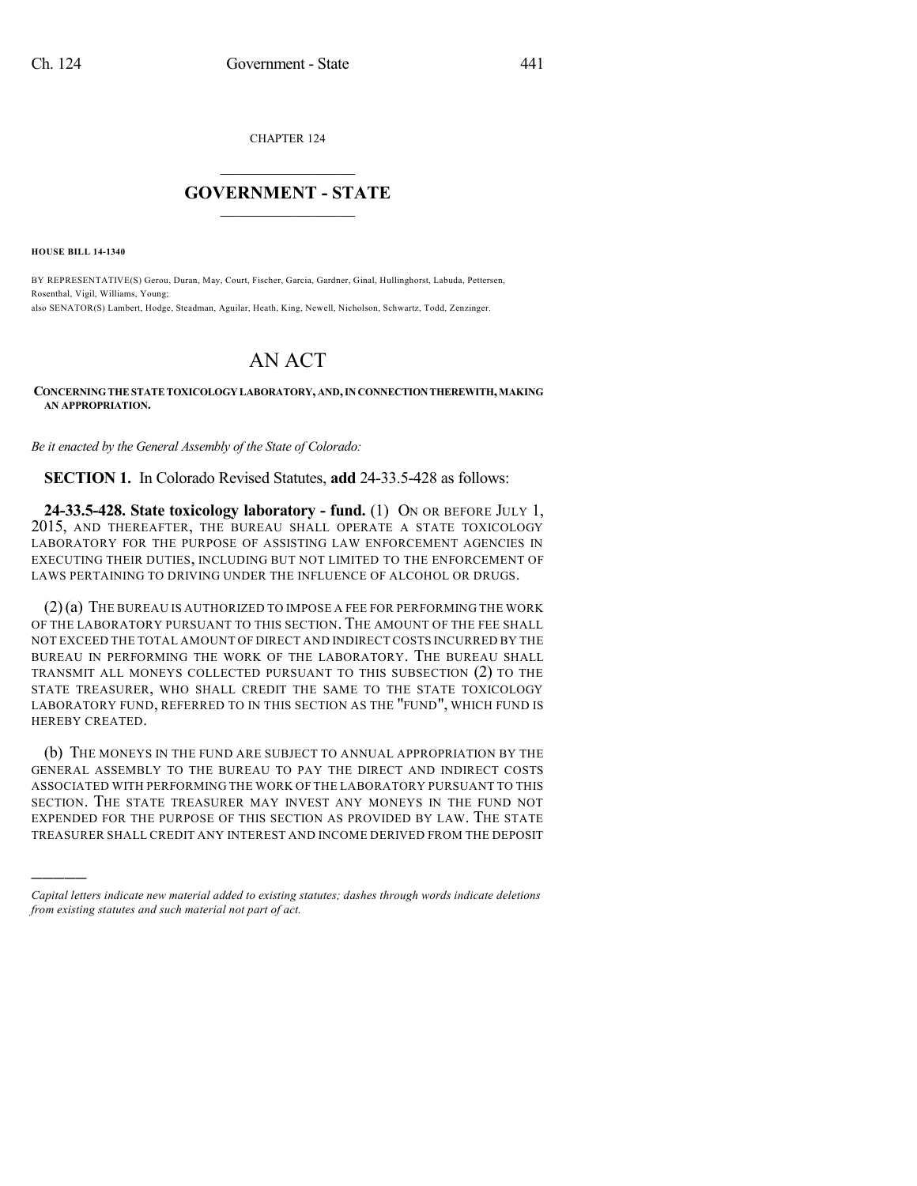CHAPTER 124

## $\mathcal{L}_\text{max}$  . The set of the set of the set of the set of the set of the set of the set of the set of the set of the set of the set of the set of the set of the set of the set of the set of the set of the set of the set **GOVERNMENT - STATE**  $\_$   $\_$   $\_$   $\_$   $\_$   $\_$   $\_$   $\_$

**HOUSE BILL 14-1340**

)))))

BY REPRESENTATIVE(S) Gerou, Duran, May, Court, Fischer, Garcia, Gardner, Ginal, Hullinghorst, Labuda, Pettersen, Rosenthal, Vigil, Williams, Young; also SENATOR(S) Lambert, Hodge, Steadman, Aguilar, Heath, King, Newell, Nicholson, Schwartz, Todd, Zenzinger.

## AN ACT

**CONCERNINGTHESTATETOXICOLOGY LABORATORY, AND,IN CONNECTIONTHEREWITH,MAKING AN APPROPRIATION.**

*Be it enacted by the General Assembly of the State of Colorado:*

**SECTION 1.** In Colorado Revised Statutes, **add** 24-33.5-428 as follows:

**24-33.5-428. State toxicology laboratory - fund.** (1) ON OR BEFORE JULY 1, 2015, AND THEREAFTER, THE BUREAU SHALL OPERATE A STATE TOXICOLOGY LABORATORY FOR THE PURPOSE OF ASSISTING LAW ENFORCEMENT AGENCIES IN EXECUTING THEIR DUTIES, INCLUDING BUT NOT LIMITED TO THE ENFORCEMENT OF LAWS PERTAINING TO DRIVING UNDER THE INFLUENCE OF ALCOHOL OR DRUGS.

(2)(a) THE BUREAU IS AUTHORIZED TO IMPOSE A FEE FOR PERFORMING THE WORK OF THE LABORATORY PURSUANT TO THIS SECTION. THE AMOUNT OF THE FEE SHALL NOT EXCEED THE TOTAL AMOUNT OF DIRECT AND INDIRECT COSTS INCURRED BY THE BUREAU IN PERFORMING THE WORK OF THE LABORATORY. THE BUREAU SHALL TRANSMIT ALL MONEYS COLLECTED PURSUANT TO THIS SUBSECTION (2) TO THE STATE TREASURER, WHO SHALL CREDIT THE SAME TO THE STATE TOXICOLOGY LABORATORY FUND, REFERRED TO IN THIS SECTION AS THE "FUND", WHICH FUND IS HEREBY CREATED.

(b) THE MONEYS IN THE FUND ARE SUBJECT TO ANNUAL APPROPRIATION BY THE GENERAL ASSEMBLY TO THE BUREAU TO PAY THE DIRECT AND INDIRECT COSTS ASSOCIATED WITH PERFORMING THE WORK OF THE LABORATORY PURSUANT TO THIS SECTION. THE STATE TREASURER MAY INVEST ANY MONEYS IN THE FUND NOT EXPENDED FOR THE PURPOSE OF THIS SECTION AS PROVIDED BY LAW. THE STATE TREASURER SHALL CREDIT ANY INTEREST AND INCOME DERIVED FROM THE DEPOSIT

*Capital letters indicate new material added to existing statutes; dashes through words indicate deletions from existing statutes and such material not part of act.*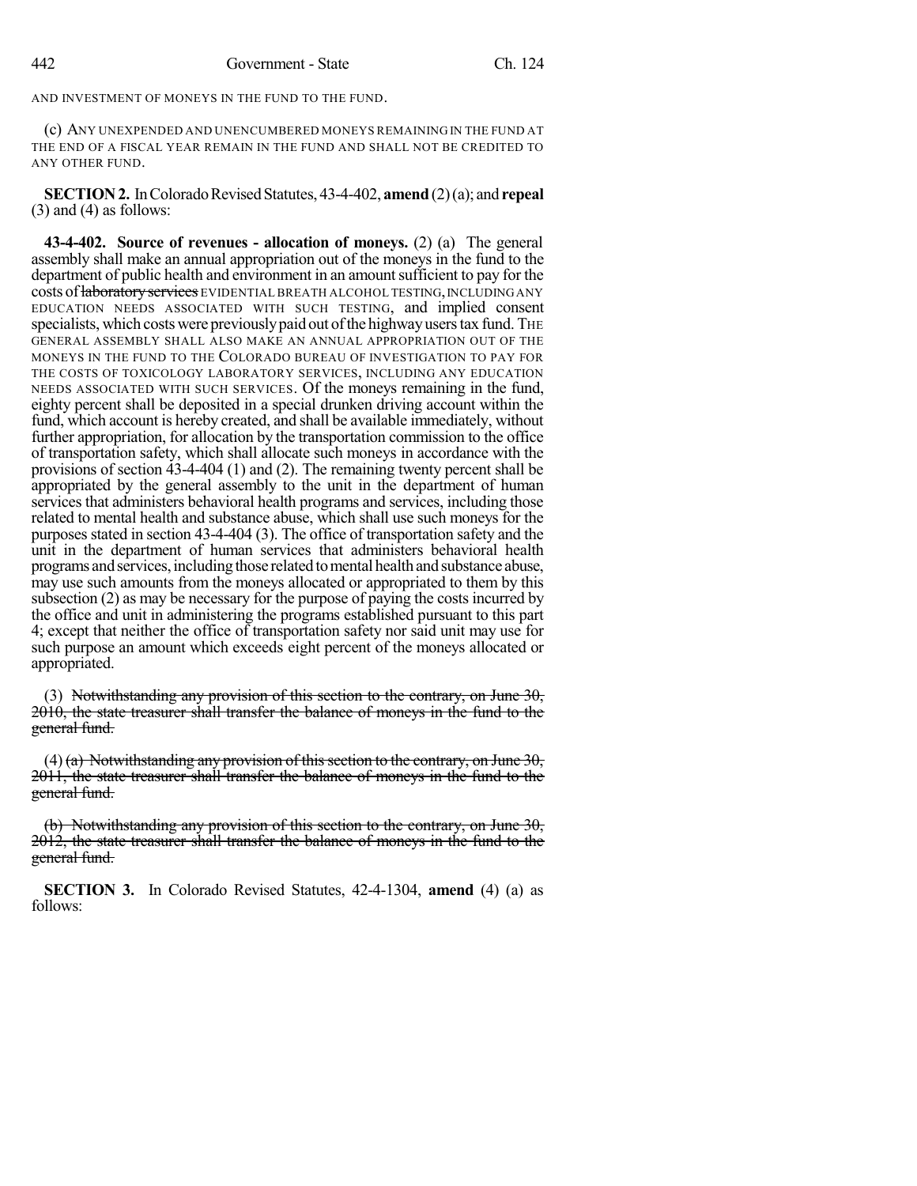AND INVESTMENT OF MONEYS IN THE FUND TO THE FUND.

(c) ANY UNEXPENDED AND UNENCUMBERED MONEYS REMAINING IN THE FUND AT THE END OF A FISCAL YEAR REMAIN IN THE FUND AND SHALL NOT BE CREDITED TO ANY OTHER FUND.

**SECTION 2.** In Colorado Revised Statutes, 43-4-402, **amend** (2)(a); and **repeal**  $(3)$  and  $(4)$  as follows:

**43-4-402. Source of revenues - allocation of moneys.** (2) (a) The general assembly shall make an annual appropriation out of the moneys in the fund to the department of public health and environment in an amount sufficient to pay for the costs of laboratory services EVIDENTIAL BREATH ALCOHOL TESTING, INCLUDING ANY EDUCATION NEEDS ASSOCIATED WITH SUCH TESTING, and implied consent specialists, which costs were previously paid out of the highway users tax fund. The GENERAL ASSEMBLY SHALL ALSO MAKE AN ANNUAL APPROPRIATION OUT OF THE MONEYS IN THE FUND TO THE COLORADO BUREAU OF INVESTIGATION TO PAY FOR THE COSTS OF TOXICOLOGY LABORATORY SERVICES, INCLUDING ANY EDUCATION NEEDS ASSOCIATED WITH SUCH SERVICES. Of the moneys remaining in the fund, eighty percent shall be deposited in a special drunken driving account within the fund, which account is hereby created, and shall be available immediately, without further appropriation, for allocation by the transportation commission to the office of transportation safety, which shall allocate such moneys in accordance with the provisions of section 43-4-404 (1) and (2). The remaining twenty percent shall be appropriated by the general assembly to the unit in the department of human services that administers behavioral health programs and services, including those related to mental health and substance abuse, which shall use such moneys for the purposes stated in section 43-4-404 (3). The office of transportation safety and the unit in the department of human services that administers behavioral health programs and services, including those related to mental health and substance abuse, may use such amounts from the moneys allocated or appropriated to them by this subsection (2) as may be necessary for the purpose of paying the costs incurred by the office and unit in administering the programs established pursuant to this part 4; except that neither the office of transportation safety nor said unit may use for such purpose an amount which exceeds eight percent of the moneys allocated or appropriated.

(3) Notwithstanding any provision of this section to the contrary, on June  $30$ , 2010, the state treasurer shall transfer the balance of moneys in the fund to the general fund.

(4) (a) Notwithstanding any provision of this section to the contrary, on June 30, 2011, the state treasurer shall transfer the balance of moneys in the fund to the general fund.

(b) Notwithstanding any provision of this section to the contrary, on June 30, 2012, the state treasurer shall transfer the balance of moneys in the fund to the general fund.

**SECTION 3.** In Colorado Revised Statutes, 42-4-1304, **amend** (4) (a) as follows: